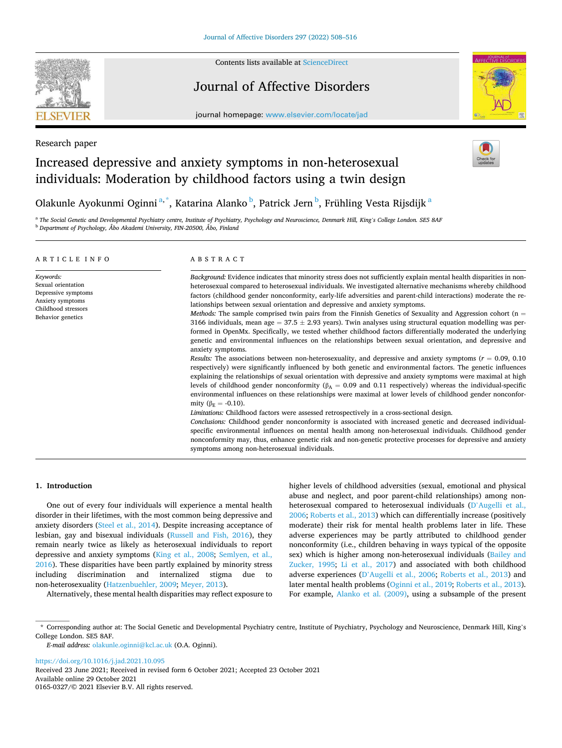

Research paper

Contents lists available at [ScienceDirect](www.sciencedirect.com/science/journal/01650327)

## Journal of Affective Disorders



journal homepage: [www.elsevier.com/locate/jad](https://www.elsevier.com/locate/jad)

# Increased depressive and anxiety symptoms in non-heterosexual individuals: Moderation by childhood factors using a twin design



Olakunle Ayokunmi Oginni<sup>a,\*</sup>, Katarina Alanko <sup>b</sup>, Patrick Jern <sup>b</sup>, Frühling Vesta Rijsdijk <sup>a</sup>

a *The Social Genetic and Developmental Psychiatry centre, Institute of Psychiatry, Psychology and Neuroscience, Denmark Hill, King's College London. SE5 8AF*  <sup>b</sup> *Department of Psychology, Åbo Akademi University, FIN-20500, Åbo, Finland* 

| ARTICLE INFO                                                                                                           | ABSTRACT                                                                                                                                                                                                                                                                                                                                                                                                                                                                                                                                                                                                                                                                                                                                                                                                                                                                                                                                                                                                                                                                                                                                                                                                                                                                                                                                                                                                                                                                                                                                                                                                                                                                                                                                                                                                                                                                                                                                                                                                                                                 |  |  |  |  |
|------------------------------------------------------------------------------------------------------------------------|----------------------------------------------------------------------------------------------------------------------------------------------------------------------------------------------------------------------------------------------------------------------------------------------------------------------------------------------------------------------------------------------------------------------------------------------------------------------------------------------------------------------------------------------------------------------------------------------------------------------------------------------------------------------------------------------------------------------------------------------------------------------------------------------------------------------------------------------------------------------------------------------------------------------------------------------------------------------------------------------------------------------------------------------------------------------------------------------------------------------------------------------------------------------------------------------------------------------------------------------------------------------------------------------------------------------------------------------------------------------------------------------------------------------------------------------------------------------------------------------------------------------------------------------------------------------------------------------------------------------------------------------------------------------------------------------------------------------------------------------------------------------------------------------------------------------------------------------------------------------------------------------------------------------------------------------------------------------------------------------------------------------------------------------------------|--|--|--|--|
| Keywords:<br>Sexual orientation<br>Depressive symptoms<br>Anxiety symptoms<br>Childhood stressors<br>Behavior genetics | Background: Evidence indicates that minority stress does not sufficiently explain mental health disparities in non-<br>heterosexual compared to heterosexual individuals. We investigated alternative mechanisms whereby childhood<br>factors (childhood gender nonconformity, early-life adversities and parent-child interactions) moderate the re-<br>lationships between sexual orientation and depressive and anxiety symptoms.<br><i>Methods:</i> The sample comprised twin pairs from the Finnish Genetics of Sexuality and Aggression cohort ( $n =$<br>3166 individuals, mean age = 37.5 $\pm$ 2.93 years). Twin analyses using structural equation modelling was per-<br>formed in OpenMx. Specifically, we tested whether childhood factors differentially moderated the underlying<br>genetic and environmental influences on the relationships between sexual orientation, and depressive and<br>anxiety symptoms.<br>Results: The associations between non-heterosexuality, and depressive and anxiety symptoms ( $r = 0.09, 0.10$ )<br>respectively) were significantly influenced by both genetic and environmental factors. The genetic influences<br>explaining the relationships of sexual orientation with depressive and anxiety symptoms were maximal at high<br>levels of childhood gender nonconformity ( $\beta_A = 0.09$ and 0.11 respectively) whereas the individual-specific<br>environmental influences on these relationships were maximal at lower levels of childhood gender nonconfor-<br>mity ( $\beta$ <sub>E</sub> = -0.10).<br>Limitations: Childhood factors were assessed retrospectively in a cross-sectional design.<br>Conclusions: Childhood gender nonconformity is associated with increased genetic and decreased individual-<br>specific environmental influences on mental health among non-heterosexual individuals. Childhood gender<br>nonconformity may, thus, enhance genetic risk and non-genetic protective processes for depressive and anxiety<br>symptoms among non-heterosexual individuals. |  |  |  |  |

## **1. Introduction**

One out of every four individuals will experience a mental health disorder in their lifetimes, with the most common being depressive and anxiety disorders [\(Steel et al., 2014\)](#page-8-0). Despite increasing acceptance of lesbian, gay and bisexual individuals [\(Russell and Fish, 2016](#page-8-0)), they remain nearly twice as likely as heterosexual individuals to report depressive and anxiety symptoms [\(King et al., 2008;](#page-8-0) [Semlyen, et al.,](#page-8-0)  [2016\)](#page-8-0). These disparities have been partly explained by minority stress including discrimination and internalized stigma due to non-heterosexuality ([Hatzenbuehler, 2009](#page-7-0); [Meyer, 2013](#page-8-0)).

Alternatively, these mental health disparities may reflect exposure to

higher levels of childhood adversities (sexual, emotional and physical abuse and neglect, and poor parent-child relationships) among nonheterosexual compared to heterosexual individuals (D'[Augelli et al.,](#page-7-0)  [2006;](#page-7-0) [Roberts et al., 2013\)](#page-8-0) which can differentially increase (positively moderate) their risk for mental health problems later in life. These adverse experiences may be partly attributed to childhood gender nonconformity (i.e., children behaving in ways typical of the opposite sex) which is higher among non-heterosexual individuals ([Bailey and](#page-7-0)  [Zucker, 1995](#page-7-0); [Li et al., 2017\)](#page-8-0) and associated with both childhood adverse experiences (D'[Augelli et al., 2006;](#page-7-0) [Roberts et al., 2013\)](#page-8-0) and later mental health problems [\(Oginni et al., 2019](#page-8-0); [Roberts et al., 2013](#page-8-0)). For example, [Alanko et al. \(2009\)](#page-7-0), using a subsample of the present

\* Corresponding author at: The Social Genetic and Developmental Psychiatry centre, Institute of Psychiatry, Psychology and Neuroscience, Denmark Hill, King's College London. SE5 8AF.

*E-mail address:* [olakunle.oginni@kcl.ac.uk](mailto:olakunle.oginni@kcl.ac.uk) (O.A. Oginni).

<https://doi.org/10.1016/j.jad.2021.10.095>

Available online 29 October 2021 0165-0327/© 2021 Elsevier B.V. All rights reserved. Received 23 June 2021; Received in revised form 6 October 2021; Accepted 23 October 2021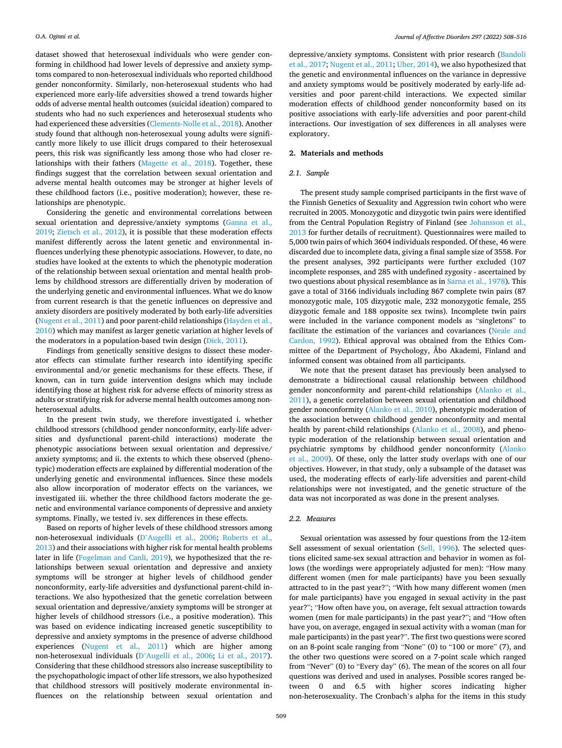dataset showed that heterosexual individuals who were gender conforming in childhood had lower levels of depressive and anxiety symptoms compared to non-heterosexual individuals who reported childhood gender nonconformity. Similarly, non-heterosexual students who had experienced more early-life adversities showed a trend towards higher odds of adverse mental health outcomes (suicidal ideation) compared to students who had no such experiences and heterosexual students who had experienced these adversities ([Clements-Nolle et al., 2018](#page-7-0)). Another study found that although non-heterosexual young adults were significantly more likely to use illicit drugs compared to their heterosexual peers, this risk was significantly less among those who had closer relationships with their fathers ([Magette et al., 2018](#page-8-0)). Together, these findings suggest that the correlation between sexual orientation and adverse mental health outcomes may be stronger at higher levels of these childhood factors (i.e., positive moderation); however, these relationships are phenotypic.

Considering the genetic and environmental correlations between sexual orientation and depressive/anxiety symptoms [\(Ganna et al.,](#page-7-0)  [2019;](#page-7-0) [Zietsch et al., 2012](#page-8-0)), it is possible that these moderation effects manifest differently across the latent genetic and environmental influences underlying these phenotypic associations. However, to date, no studies have looked at the extents to which the phenotypic moderation of the relationship between sexual orientation and mental health problems by childhood stressors are differentially driven by moderation of the underlying genetic and environmental influences. What we do know from current research is that the genetic influences on depressive and anxiety disorders are positively moderated by both early-life adversities ([Nugent et al., 2011](#page-8-0)) and poor parent-child relationships [\(Hayden et al.,](#page-7-0)  [2010\)](#page-7-0) which may manifest as larger genetic variation at higher levels of the moderators in a population-based twin design ([Dick, 2011](#page-7-0)).

Findings from genetically sensitive designs to dissect these moderator effects can stimulate further research into identifying specific environmental and/or genetic mechanisms for these effects. These, if known, can in turn guide intervention designs which may include identifying those at highest risk for adverse effects of minority stress as adults or stratifying risk for adverse mental health outcomes among nonheterosexual adults.

In the present twin study, we therefore investigated i. whether childhood stressors (childhood gender nonconformity, early-life adversities and dysfunctional parent-child interactions) moderate the phenotypic associations between sexual orientation and depressive/ anxiety symptoms; and ii. the extents to which these observed (phenotypic) moderation effects are explained by differential moderation of the underlying genetic and environmental influences. Since these models also allow incorporation of moderator effects on the variances, we investigated iii. whether the three childhood factors moderate the genetic and environmental variance components of depressive and anxiety symptoms. Finally, we tested iv. sex differences in these effects.

Based on reports of higher levels of these childhood stressors among non-heterosexual individuals (D'[Augelli et al., 2006;](#page-7-0) [Roberts et al.,](#page-8-0)  [2013\)](#page-8-0) and their associations with higher risk for mental health problems later in life [\(Fogelman and Canli, 2019\)](#page-7-0), we hypothesized that the relationships between sexual orientation and depressive and anxiety symptoms will be stronger at higher levels of childhood gender nonconformity, early-life adversities and dysfunctional parent-child interactions. We also hypothesized that the genetic correlation between sexual orientation and depressive/anxiety symptoms will be stronger at higher levels of childhood stressors (i.e., a positive moderation). This was based on evidence indicating increased genetic susceptibility to depressive and anxiety symptoms in the presence of adverse childhood experiences ([Nugent et al., 2011\)](#page-8-0) which are higher among non-heterosexual individuals (D'[Augelli et al., 2006;](#page-7-0) [Li et al., 2017](#page-8-0)). Considering that these childhood stressors also increase susceptibility to the psychopathologic impact of other life stressors, we also hypothesized that childhood stressors will positively moderate environmental influences on the relationship between sexual orientation and

depressive/anxiety symptoms. Consistent with prior research ([Bandoli](#page-7-0)  [et al., 2017;](#page-7-0) [Nugent et al., 2011; Uher, 2014](#page-8-0)), we also hypothesized that the genetic and environmental influences on the variance in depressive and anxiety symptoms would be positively moderated by early-life adversities and poor parent-child interactions. We expected similar moderation effects of childhood gender nonconformity based on its positive associations with early-life adversities and poor parent-child interactions. Our investigation of sex differences in all analyses were exploratory.

## **2. Materials and methods**

#### *2.1. Sample*

The present study sample comprised participants in the first wave of the Finnish Genetics of Sexuality and Aggression twin cohort who were recruited in 2005. Monozygotic and dizygotic twin pairs were identified from the Central Population Registry of Finland (see [Johansson et al.,](#page-7-0)  [2013](#page-7-0) for further details of recruitment). Questionnaires were mailed to 5,000 twin pairs of which 3604 individuals responded. Of these, 46 were discarded due to incomplete data, giving a final sample size of 3558. For the present analyses, 392 participants were further excluded (107 incomplete responses, and 285 with undefined zygosity - ascertained by two questions about physical resemblance as in [Sarna et al., 1978](#page-8-0)). This gave a total of 3166 individuals including 867 complete twin pairs (87 monozygotic male, 105 dizygotic male, 232 monozygotic female, 255 dizygotic female and 188 opposite sex twins). Incomplete twin pairs were included in the variance component models as "singletons" to facilitate the estimation of the variances and covariances [\(Neale and](#page-8-0)  [Cardon, 1992\)](#page-8-0). Ethical approval was obtained from the Ethics Committee of the Department of Psychology, Åbo Akademi, Finland and informed consent was obtained from all participants.

We note that the present dataset has previously been analysed to demonstrate a bidirectional causal relationship between childhood gender nonconformity and parent-child relationships [\(Alanko et al.,](#page-7-0)  [2011\)](#page-7-0), a genetic correlation between sexual orientation and childhood gender nonconformity ([Alanko et al., 2010](#page-7-0)), phenotypic moderation of the association between childhood gender nonconformity and mental health by parent-child relationships [\(Alanko et al., 2008](#page-7-0)), and phenotypic moderation of the relationship between sexual orientation and psychiatric symptoms by childhood gender nonconformity ([Alanko](#page-7-0)  [et al., 2009](#page-7-0)). Of these, only the latter study overlaps with one of our objectives. However, in that study, only a subsample of the dataset was used, the moderating effects of early-life adversities and parent-child relationships were not investigated, and the genetic structure of the data was not incorporated as was done in the present analyses.

## *2.2. Measures*

Sexual orientation was assessed by four questions from the 12-item Sell assessment of sexual orientation ([Sell, 1996](#page-8-0)). The selected questions elicited same-sex sexual attraction and behavior in women as follows (the wordings were appropriately adjusted for men): "How many different women (men for male participants) have you been sexually attracted to in the past year?"; "With how many different women (men for male participants) have you engaged in sexual activity in the past year?"; "How often have you, on average, felt sexual attraction towards women (men for male participants) in the past year?"; and "How often have you, on average, engaged in sexual activity with a woman (man for male participants) in the past year?". The first two questions were scored on an 8-point scale ranging from "None" (0) to "100 or more" (7), and the other two questions were scored on a 7-point scale which ranged from "Never" (0) to "Every day" (6). The mean of the scores on all four questions was derived and used in analyses. Possible scores ranged between 0 and 6.5 with higher scores indicating higher non-heterosexuality. The Cronbach's alpha for the items in this study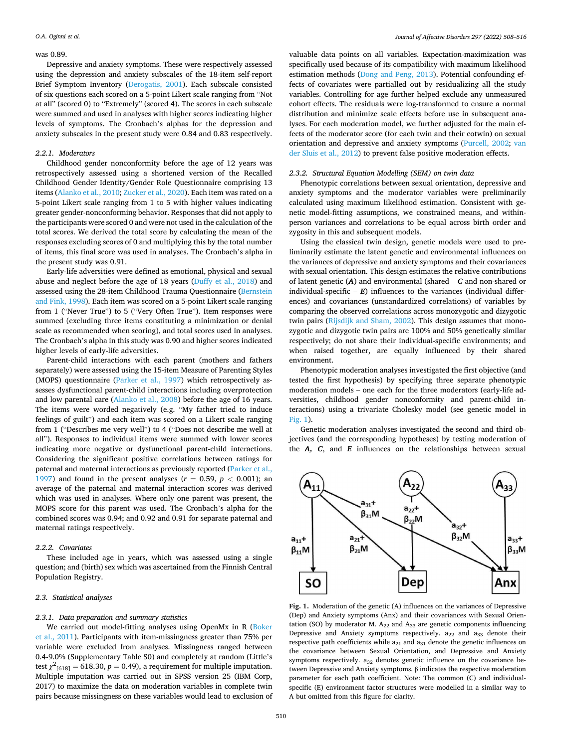#### <span id="page-2-0"></span>was 0.89.

Depressive and anxiety symptoms. These were respectively assessed using the depression and anxiety subscales of the 18-item self-report Brief Symptom Inventory [\(Derogatis, 2001\)](#page-7-0). Each subscale consisted of six questions each scored on a 5-point Likert scale ranging from "Not at all" (scored 0) to "Extremely" (scored 4). The scores in each subscale were summed and used in analyses with higher scores indicating higher levels of symptoms. The Cronbach's alphas for the depression and anxiety subscales in the present study were 0.84 and 0.83 respectively.

#### *2.2.1. Moderators*

Childhood gender nonconformity before the age of 12 years was retrospectively assessed using a shortened version of the Recalled Childhood Gender Identity/Gender Role Questionnaire comprising 13 items [\(Alanko et al., 2010;](#page-7-0) [Zucker et al., 2020\)](#page-8-0). Each item was rated on a 5-point Likert scale ranging from 1 to 5 with higher values indicating greater gender-nonconforming behavior. Responses that did not apply to the participants were scored 0 and were not used in the calculation of the total scores. We derived the total score by calculating the mean of the responses excluding scores of 0 and multiplying this by the total number of items, this final score was used in analyses. The Cronbach's alpha in the present study was 0.91.

Early-life adversities were defined as emotional, physical and sexual abuse and neglect before the age of 18 years ([Duffy et al., 2018\)](#page-7-0) and assessed using the 28-item Childhood Trauma Questionnaire ([Bernstein](#page-7-0)  [and Fink, 1998](#page-7-0)). Each item was scored on a 5-point Likert scale ranging from 1 ("Never True") to 5 ("Very Often True"). Item responses were summed (excluding three items constituting a minimization or denial scale as recommended when scoring), and total scores used in analyses. The Cronbach's alpha in this study was 0.90 and higher scores indicated higher levels of early-life adversities.

Parent-child interactions with each parent (mothers and fathers separately) were assessed using the 15-item Measure of Parenting Styles (MOPS) questionnaire [\(Parker et al., 1997\)](#page-8-0) which retrospectively assesses dysfunctional parent-child interactions including overprotection and low parental care ([Alanko et al., 2008](#page-7-0)) before the age of 16 years. The items were worded negatively (e.g. "My father tried to induce feelings of guilt") and each item was scored on a Likert scale ranging from 1 ("Describes me very well") to 4 ("Does not describe me well at all"). Responses to individual items were summed with lower scores indicating more negative or dysfunctional parent-child interactions. Considering the significant positive correlations between ratings for paternal and maternal interactions as previously reported [\(Parker et al.,](#page-8-0)  [1997\)](#page-8-0) and found in the present analyses  $(r = 0.59, p < 0.001)$ ; an average of the paternal and maternal interaction scores was derived which was used in analyses. Where only one parent was present, the MOPS score for this parent was used. The Cronbach's alpha for the combined scores was 0.94; and 0.92 and 0.91 for separate paternal and maternal ratings respectively.

#### *2.2.2. Covariates*

These included age in years, which was assessed using a single question; and (birth) sex which was ascertained from the Finnish Central Population Registry.

#### *2.3. Statistical analyses*

## *2.3.1. Data preparation and summary statistics*

We carried out model-fitting analyses using OpenMx in R [\(Boker](#page-7-0)  [et al., 2011\)](#page-7-0). Participants with item-missingness greater than 75% per variable were excluded from analyses. Missingness ranged between 0.4-9.0% (Supplementary Table S0) and completely at random (Little's test  $\chi^2_{[618]} = 618.30, p = 0.49$ ), a requirement for multiple imputation. Multiple imputation was carried out in SPSS version 25 (IBM Corp, 2017) to maximize the data on moderation variables in complete twin pairs because missingness on these variables would lead to exclusion of

valuable data points on all variables. Expectation-maximization was specifically used because of its compatibility with maximum likelihood estimation methods [\(Dong and Peng, 2013](#page-7-0)). Potential confounding effects of covariates were partialled out by residualizing all the study variables. Controlling for age further helped exclude any unmeasured cohort effects. The residuals were log-transformed to ensure a normal distribution and minimize scale effects before use in subsequent analyses. For each moderation model, we further adjusted for the main effects of the moderator score (for each twin and their cotwin) on sexual orientation and depressive and anxiety symptoms ([Purcell, 2002;](#page-8-0) [van](#page-8-0)  [der Sluis et al., 2012\)](#page-8-0) to prevent false positive moderation effects.

## *2.3.2. Structural Equation Modelling (SEM) on twin data*

Phenotypic correlations between sexual orientation, depressive and anxiety symptoms and the moderator variables were preliminarily calculated using maximum likelihood estimation. Consistent with genetic model-fitting assumptions, we constrained means, and withinperson variances and correlations to be equal across birth order and zygosity in this and subsequent models.

Using the classical twin design, genetic models were used to preliminarily estimate the latent genetic and environmental influences on the variances of depressive and anxiety symptoms and their covariances with sexual orientation. This design estimates the relative contributions of latent genetic (*A*) and environmental (shared – *C* and non-shared or individual-specific  $- E$ ) influences to the variances (individual differences) and covariances (unstandardized correlations) of variables by comparing the observed correlations across monozygotic and dizygotic twin pairs [\(Rijsdijk and Sham, 2002\)](#page-8-0). This design assumes that monozygotic and dizygotic twin pairs are 100% and 50% genetically similar respectively; do not share their individual-specific environments; and when raised together, are equally influenced by their shared environment.

Phenotypic moderation analyses investigated the first objective (and tested the first hypothesis) by specifying three separate phenotypic moderation models – one each for the three moderators (early-life adversities, childhood gender nonconformity and parent-child interactions) using a trivariate Cholesky model (see genetic model in Fig. 1).

Genetic moderation analyses investigated the second and third objectives (and the corresponding hypotheses) by testing moderation of the *A, C*, and *E* influences on the relationships between sexual



**Fig. 1.** Moderation of the genetic (A) influences on the variances of Depressive (Dep) and Anxiety symptoms (Anx) and their covariances with Sexual Orientation (SO) by moderator M.  $A_{22}$  and  $A_{33}$  are genetic components influencing Depressive and Anxiety symptoms respectively.  $a_{22}$  and  $a_{33}$  denote their respective path coefficients while  $a_{21}$  and  $a_{31}$  denote the genetic influences on the covariance between Sexual Orientation, and Depressive and Anxiety symptoms respectively.  $a_{32}$  denotes genetic influence on the covariance between Depressive and Anxiety symptoms. β indicates the respective moderation parameter for each path coefficient. Note: The common (C) and individualspecific (E) environment factor structures were modelled in a similar way to A but omitted from this figure for clarity.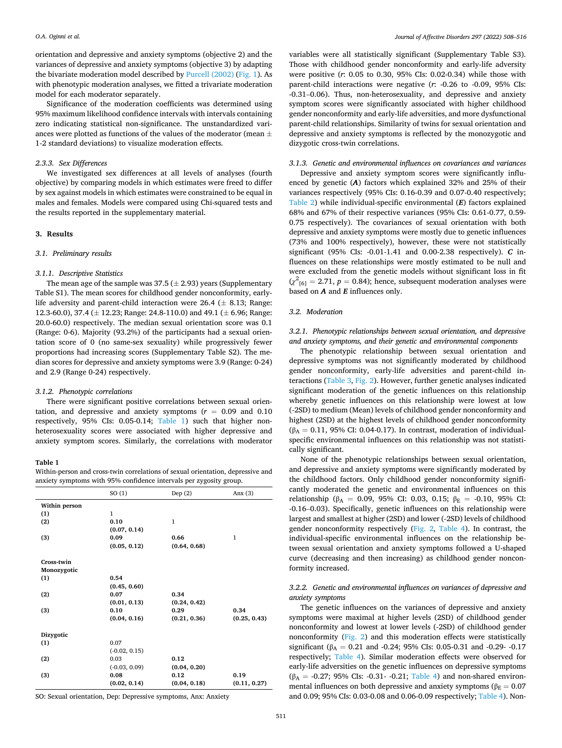orientation and depressive and anxiety symptoms (objective 2) and the variances of depressive and anxiety symptoms (objective 3) by adapting the bivariate moderation model described by [Purcell \(2002\)](#page-8-0) [\(Fig. 1\)](#page-2-0). As with phenotypic moderation analyses, we fitted a trivariate moderation model for each moderator separately.

Significance of the moderation coefficients was determined using 95% maximum likelihood confidence intervals with intervals containing zero indicating statistical non-significance. The unstandardized variances were plotted as functions of the values of the moderator (mean  $\pm$ 1-2 standard deviations) to visualize moderation effects.

#### *2.3.3. Sex Differences*

We investigated sex differences at all levels of analyses (fourth objective) by comparing models in which estimates were freed to differ by sex against models in which estimates were constrained to be equal in males and females. Models were compared using Chi-squared tests and the results reported in the supplementary material.

## **3. Results**

#### *3.1. Preliminary results*

#### *3.1.1. Descriptive Statistics*

The mean age of the sample was  $37.5 (\pm 2.93)$  years (Supplementary Table S1). The mean scores for childhood gender nonconformity, earlylife adversity and parent-child interaction were  $26.4 \ (\pm 8.13)$ ; Range: 12.3-60.0), 37.4 ( $\pm$  12.23; Range: 24.8-110.0) and 49.1 ( $\pm$  6.96; Range: 20.0-60.0) respectively. The median sexual orientation score was 0.1 (Range: 0-6). Majority (93.2%) of the participants had a sexual orientation score of 0 (no same-sex sexuality) while progressively fewer proportions had increasing scores (Supplementary Table S2). The median scores for depressive and anxiety symptoms were 3.9 (Range: 0-24) and 2.9 (Range 0-24) respectively.

## *3.1.2. Phenotypic correlations*

There were significant positive correlations between sexual orientation, and depressive and anxiety symptoms  $(r = 0.09$  and  $0.10$ respectively, 95% CIs: 0.05-0.14; Table 1) such that higher nonheterosexuality scores were associated with higher depressive and anxiety symptom scores. Similarly, the correlations with moderator

## **Table 1**

Within-person and cross-twin correlations of sexual orientation, depressive and anxiety symptoms with 95% confidence intervals per zygosity group.

|               | SO(1)           | Dep $(2)$    | Anx $(3)$    |
|---------------|-----------------|--------------|--------------|
| Within person |                 |              |              |
| (1)           | $\mathbf{1}$    |              |              |
| (2)           | 0.10            | 1            |              |
|               | (0.07, 0.14)    |              |              |
| (3)           | 0.09            | 0.66         | $\mathbf{1}$ |
|               | (0.05, 0.12)    | (0.64, 0.68) |              |
| Cross-twin    |                 |              |              |
| Monozygotic   |                 |              |              |
| (1)           | 0.54            |              |              |
|               | (0.45, 0.60)    |              |              |
| (2)           | 0.07            | 0.34         |              |
|               | (0.01, 0.13)    | (0.24, 0.42) |              |
| (3)           | 0.10            | 0.29         | 0.34         |
|               | (0.04, 0.16)    | (0.21, 0.36) | (0.25, 0.43) |
| Dizygotic     |                 |              |              |
| (1)           | 0.07            |              |              |
|               | $(-0.02, 0.15)$ |              |              |
| (2)           | 0.03            | 0.12         |              |
|               | $(-0.03, 0.09)$ | (0.04, 0.20) |              |
| (3)           | 0.08            | 0.12         | 0.19         |
|               | (0.02, 0.14)    | (0.04, 0.18) | (0.11, 0.27) |

SO: Sexual orientation, Dep: Depressive symptoms, Anx: Anxiety

variables were all statistically significant (Supplementary Table S3). Those with childhood gender nonconformity and early-life adversity were positive (*r*: 0.05 to 0.30, 95% CIs: 0.02-0.34) while those with parent-child interactions were negative (*r*: -0.26 to -0.09, 95% CIs: -0.31–0.06). Thus, non-heterosexuality, and depressive and anxiety symptom scores were significantly associated with higher childhood gender nonconformity and early-life adversities, and more dysfunctional parent-child relationships. Similarity of twins for sexual orientation and depressive and anxiety symptoms is reflected by the monozygotic and dizygotic cross-twin correlations.

## *3.1.3. Genetic and environmental influences on covariances and variances*

Depressive and anxiety symptom scores were significantly influenced by genetic (*A*) factors which explained 32% and 25% of their variances respectively (95% CIs: 0.16-0.39 and 0.07-0.40 respectively; [Table 2](#page-4-0)) while individual-specific environmental (*E*) factors explained 68% and 67% of their respective variances (95% CIs: 0.61-0.77, 0.59- 0.75 respectively). The covariances of sexual orientation with both depressive and anxiety symptoms were mostly due to genetic influences (73% and 100% respectively), however, these were not statistically significant (95% CIs: -0.01-1.41 and 0.00-2.38 respectively). *C* influences on these relationships were mostly estimated to be null and were excluded from the genetic models without significant loss in fit  $(\chi^2_{[6]} = 2.71, p = 0.84)$ ; hence, subsequent moderation analyses were based on *A* and *E* influences only.

#### *3.2. Moderation*

*3.2.1. Phenotypic relationships between sexual orientation, and depressive and anxiety symptoms, and their genetic and environmental components* 

The phenotypic relationship between sexual orientation and depressive symptoms was not significantly moderated by childhood gender nonconformity, early-life adversities and parent-child interactions [\(Table 3](#page-4-0), [Fig. 2](#page-5-0)). However, further genetic analyses indicated significant moderation of the genetic influences on this relationship whereby genetic influences on this relationship were lowest at low (-2SD) to medium (Mean) levels of childhood gender nonconformity and highest (2SD) at the highest levels of childhood gender nonconformity ( $\beta_A = 0.11$ , 95% CI: 0.04-0.17). In contrast, moderation of individualspecific environmental influences on this relationship was not statistically significant.

None of the phenotypic relationships between sexual orientation, and depressive and anxiety symptoms were significantly moderated by the childhood factors. Only childhood gender nonconformity significantly moderated the genetic and environmental influences on this relationship (β<sub>A</sub> = 0.09, 95% CI: 0.03, 0.15; β<sub>E</sub> = -0.10, 95% CI: -0.16–0.03). Specifically, genetic influences on this relationship were largest and smallest at higher (2SD) and lower (-2SD) levels of childhood gender nonconformity respectively ([Fig. 2,](#page-5-0) [Table 4\)](#page-6-0). In contrast, the individual-specific environmental influences on the relationship between sexual orientation and anxiety symptoms followed a U-shaped curve (decreasing and then increasing) as childhood gender nonconformity increased.

## *3.2.2. Genetic and environmental influences on variances of depressive and anxiety symptoms*

The genetic influences on the variances of depressive and anxiety symptoms were maximal at higher levels (2SD) of childhood gender nonconformity and lowest at lower levels (-2SD) of childhood gender nonconformity [\(Fig. 2\)](#page-5-0) and this moderation effects were statistically significant ( $\beta_A = 0.21$  and -0.24; 95% CIs: 0.05-0.31 and -0.29- -0.17 respectively; [Table 4\)](#page-6-0). Similar moderation effects were observed for early-life adversities on the genetic influences on depressive symptoms  $(\beta_A = -0.27; 95\% \text{ CIs: } -0.31 - 0.21; \text{ Table 4})$  $(\beta_A = -0.27; 95\% \text{ CIs: } -0.31 - 0.21; \text{ Table 4})$  $(\beta_A = -0.27; 95\% \text{ CIs: } -0.31 - 0.21; \text{ Table 4})$  and non-shared environmental influences on both depressive and anxiety symptoms ( $\beta_E = 0.07$ ) and 0.09; 95% CIs: 0.03-0.08 and 0.06-0.09 respectively; [Table 4](#page-6-0)). Non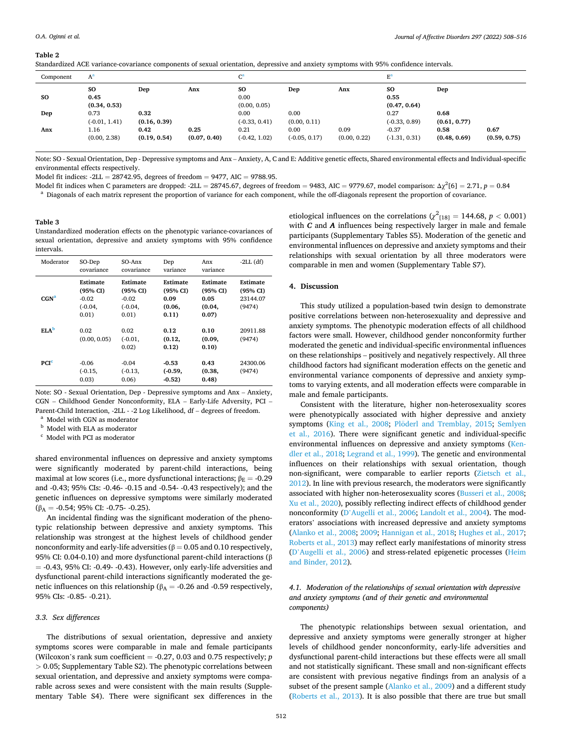<span id="page-4-0"></span>**Table 2** 

| Component | $A^a$                   |                      |                      | $\mathrm{C}^\mathrm{a}$ |                         |                      | $\rm E^a$                  |                      |                      |
|-----------|-------------------------|----------------------|----------------------|-------------------------|-------------------------|----------------------|----------------------------|----------------------|----------------------|
| SO        | SO<br>0.45              | Dep                  | Anx                  | <b>SO</b><br>0.00       | Dep                     | Anx                  | SO<br>0.55                 | Dep                  |                      |
|           | (0.34, 0.53)            |                      |                      | (0.00, 0.05)            |                         |                      | (0.47, 0.64)               |                      |                      |
| Dep       | 0.73<br>$(-0.01, 1.41)$ | 0.32<br>(0.16, 0.39) |                      | 0.00<br>$(-0.33, 0.41)$ | 0.00<br>(0.00, 0.11)    |                      | 0.27<br>$(-0.33, 0.89)$    | 0.68<br>(0.61, 0.77) |                      |
| Anx       | 1.16<br>(0.00, 2.38)    | 0.42<br>(0.19, 0.54) | 0.25<br>(0.07, 0.40) | 0.21<br>$(-0.42, 1.02)$ | 0.00<br>$(-0.05, 0.17)$ | 0.09<br>(0.00, 0.22) | $-0.37$<br>$(-1.31, 0.31)$ | 0.58<br>(0.48, 0.69) | 0.67<br>(0.59, 0.75) |

Note: SO - Sexual Orientation, Dep - Depressive symptoms and Anx – Anxiety, A, C and E: Additive genetic effects, Shared environmental effects and Individual-specific environmental effects respectively.

Model fit indices:  $-2LL = 28742.95$ , degrees of freedom = 9477, AIC = 9788.95.

Model fit indices when C parameters are dropped: -2LL = 28745.67, degrees of freedom = 9483, AIC = 9779.67, model comparison:  $\Delta \chi^2[6] = 2.71$ ,  $p = 0.84$ 

Standardized ACE variance-covariance components of sexual orientation, depressive and anxiety symptoms with 95% confidence intervals.

<sup>a</sup> Diagonals of each matrix represent the proportion of variance for each component, while the off-diagonals represent the proportion of covariance.

## **Table 3**

Unstandardized moderation effects on the phenotypic variance-covariances of sexual orientation, depressive and anxiety symptoms with 95% confidence intervals.

| Moderator        | SO-Dep<br>covariance                                  | SO-Anx<br>covariance                                  | Dep<br>variance                                 | Anx<br>variance                                 | $-2LL$ (df)                                |
|------------------|-------------------------------------------------------|-------------------------------------------------------|-------------------------------------------------|-------------------------------------------------|--------------------------------------------|
| CGN <sup>a</sup> | Estimate<br>(95% CI)<br>$-0.02$<br>$(-0.04,$<br>0.01) | Estimate<br>(95% CI)<br>$-0.02$<br>$(-0.04,$<br>0.01) | Estimate<br>(95% CI)<br>0.09<br>(0.06,<br>0.11) | Estimate<br>(95% CI)<br>0.05<br>(0.04,<br>0.07) | Estimate<br>(95% CI)<br>23144.07<br>(9474) |
| ELA <sup>b</sup> | 0.02<br>(0.00, 0.05)                                  | 0.02<br>$(-0.01,$<br>0.02)                            | 0.12<br>(0.12,<br>0.12)                         | 0.10<br>(0.09,<br>0.10)                         | 20911.88<br>(9474)                         |
| PCI <sup>c</sup> | $-0.06$<br>$(-0.15,$<br>0.03)                         | $-0.04$<br>$(-0.13,$<br>0.06)                         | $-0.53$<br>$(-0.59,$<br>$-0.52$                 | 0.43<br>(0.38,<br>(0.48)                        | 24300.06<br>(9474)                         |

Note: SO - Sexual Orientation, Dep - Depressive symptoms and Anx – Anxiety, CGN – Childhood Gender Nonconformity, ELA – Early-Life Adversity, PCI – Parent-Child Interaction, -2LL - -2 Log Likelihood, df – degrees of freedom.

<sup>a</sup> Model with CGN as moderator

<sup>b</sup> Model with ELA as moderator

<sup>c</sup> Model with PCI as moderator

shared environmental influences on depressive and anxiety symptoms were significantly moderated by parent-child interactions, being maximal at low scores (i.e., more dysfunctional interactions;  $\beta_E = -0.29$ and -0.43; 95% CIs: -0.46- -0.15 and -0.54- -0.43 respectively); and the genetic influences on depressive symptoms were similarly moderated  $(\beta_A = -0.54; 95\% \text{ CI: } -0.75 - -0.25).$ 

An incidental finding was the significant moderation of the phenotypic relationship between depressive and anxiety symptoms. This relationship was strongest at the highest levels of childhood gender nonconformity and early-life adversities ( $β = 0.05$  and 0.10 respectively, 95% CI: 0.04-0.10) and more dysfunctional parent-child interactions (β  $= -0.43$ , 95% CI:  $-0.49 - 0.43$ ). However, only early-life adversities and dysfunctional parent-child interactions significantly moderated the genetic influences on this relationship ( $β<sub>A</sub> = -0.26$  and -0.59 respectively, 95% CIs: -0.85- -0.21).

#### *3.3. Sex differences*

The distributions of sexual orientation, depressive and anxiety symptoms scores were comparable in male and female participants (Wilcoxon's rank sum coefficient  $= -0.27$ , 0.03 and 0.75 respectively; *p >* 0.05; Supplementary Table S2). The phenotypic correlations between sexual orientation, and depressive and anxiety symptoms were comparable across sexes and were consistent with the main results (Supplementary Table S4). There were significant sex differences in the

etiological influences on the correlations ( $\chi^2_{[18]} = 144.68$ ,  $p < 0.001$ ) with *C* and *A* influences being respectively larger in male and female participants (Supplementary Tables S5). Moderation of the genetic and environmental influences on depressive and anxiety symptoms and their relationships with sexual orientation by all three moderators were comparable in men and women (Supplementary Table S7).

### **4. Discussion**

This study utilized a population-based twin design to demonstrate positive correlations between non-heterosexuality and depressive and anxiety symptoms. The phenotypic moderation effects of all childhood factors were small. However, childhood gender nonconformity further moderated the genetic and individual-specific environmental influences on these relationships – positively and negatively respectively. All three childhood factors had significant moderation effects on the genetic and environmental variance components of depressive and anxiety symptoms to varying extents, and all moderation effects were comparable in male and female participants.

Consistent with the literature, higher non-heterosexuality scores were phenotypically associated with higher depressive and anxiety symptoms [\(King et al., 2008](#page-8-0); Plöderl and Tremblay, 2015; Semlyen [et al., 2016](#page-8-0)). There were significant genetic and individual-specific environmental influences on depressive and anxiety symptoms ([Ken](#page-8-0)[dler et al., 2018](#page-8-0); [Legrand et al., 1999](#page-8-0)). The genetic and environmental influences on their relationships with sexual orientation, though non-significant, were comparable to earlier reports ([Zietsch et al.,](#page-8-0)  [2012\)](#page-8-0). In line with previous research, the moderators were significantly associated with higher non-heterosexuality scores ([Busseri et al., 2008](#page-7-0); [Xu et al., 2020](#page-8-0)), possibly reflecting indirect effects of childhood gender nonconformity (D'[Augelli et al., 2006;](#page-7-0) [Landolt et al., 2004\)](#page-8-0). The moderators' associations with increased depressive and anxiety symptoms ([Alanko et al., 2008](#page-7-0); [2009;](#page-7-0) [Hannigan et al., 2018; Hughes et al., 2017](#page-7-0); [Roberts et al., 2013\)](#page-8-0) may reflect early manifestations of minority stress (D'[Augelli et al., 2006](#page-7-0)) and stress-related epigenetic processes ([Heim](#page-7-0)  [and Binder, 2012\)](#page-7-0).

## *4.1. Moderation of the relationships of sexual orientation with depressive and anxiety symptoms (and of their genetic and environmental components)*

The phenotypic relationships between sexual orientation, and depressive and anxiety symptoms were generally stronger at higher levels of childhood gender nonconformity, early-life adversities and dysfunctional parent-child interactions but these effects were all small and not statistically significant. These small and non-significant effects are consistent with previous negative findings from an analysis of a subset of the present sample ([Alanko et al., 2009\)](#page-7-0) and a different study ([Roberts et al., 2013](#page-8-0)). It is also possible that there are true but small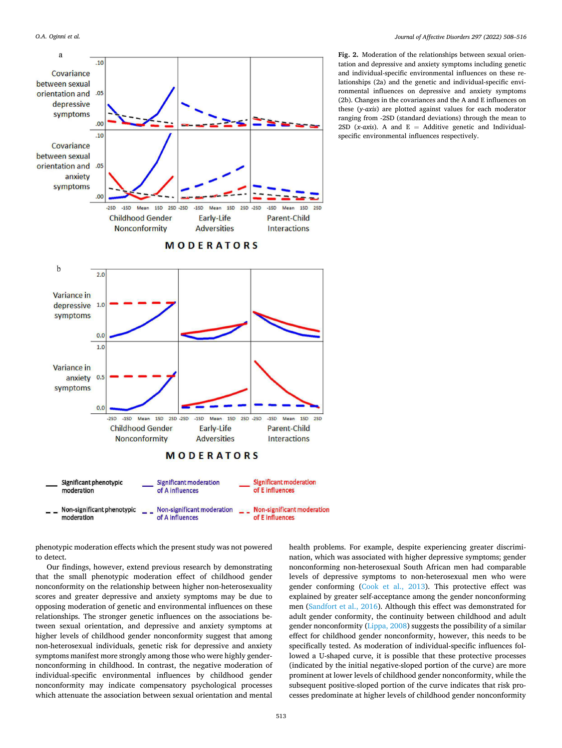<span id="page-5-0"></span>

**Fig. 2.** Moderation of the relationships between sexual orientation and depressive and anxiety symptoms including genetic and individual-specific environmental influences on these relationships (2a) and the genetic and individual-specific environmental influences on depressive and anxiety symptoms (2b). Changes in the covariances and the A and E influences on these (*y-axis*) are plotted against values for each moderator ranging from -2SD (standard deviations) through the mean to 2SD ( $x$ - $axis$ ). A and  $E =$  Additive genetic and Individualspecific environmental influences respectively.

phenotypic moderation effects which the present study was not powered to detect.

Our findings, however, extend previous research by demonstrating that the small phenotypic moderation effect of childhood gender nonconformity on the relationship between higher non-heterosexuality scores and greater depressive and anxiety symptoms may be due to opposing moderation of genetic and environmental influences on these relationships. The stronger genetic influences on the associations between sexual orientation, and depressive and anxiety symptoms at higher levels of childhood gender nonconformity suggest that among non-heterosexual individuals, genetic risk for depressive and anxiety symptoms manifest more strongly among those who were highly gendernonconforming in childhood. In contrast, the negative moderation of individual-specific environmental influences by childhood gender nonconformity may indicate compensatory psychological processes which attenuate the association between sexual orientation and mental

health problems. For example, despite experiencing greater discrimination, which was associated with higher depressive symptoms; gender nonconforming non-heterosexual South African men had comparable levels of depressive symptoms to non-heterosexual men who were gender conforming [\(Cook et al., 2013\)](#page-7-0). This protective effect was explained by greater self-acceptance among the gender nonconforming men [\(Sandfort et al., 2016](#page-8-0)). Although this effect was demonstrated for adult gender conformity, the continuity between childhood and adult gender nonconformity ([Lippa, 2008](#page-8-0)) suggests the possibility of a similar effect for childhood gender nonconformity, however, this needs to be specifically tested. As moderation of individual-specific influences followed a U-shaped curve, it is possible that these protective processes (indicated by the initial negative-sloped portion of the curve) are more prominent at lower levels of childhood gender nonconformity, while the subsequent positive-sloped portion of the curve indicates that risk processes predominate at higher levels of childhood gender nonconformity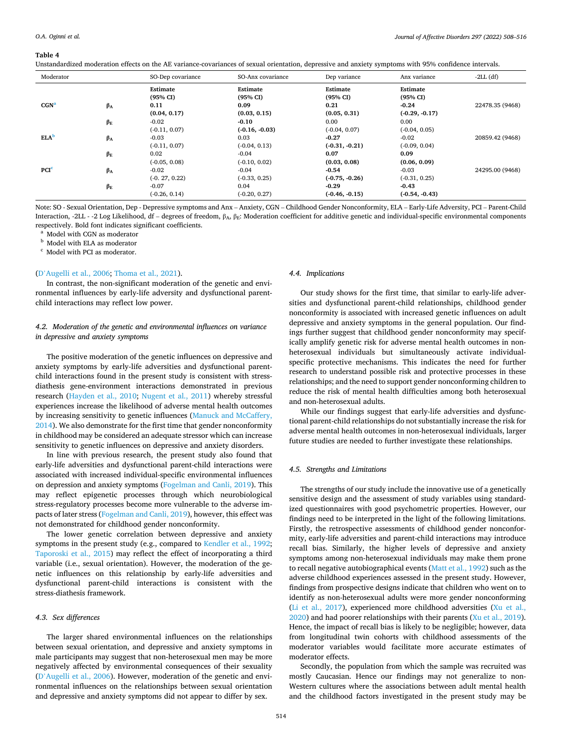#### <span id="page-6-0"></span>**Table 4**

Unstandardized moderation effects on the AE variance-covariances of sexual orientation, depressive and anxiety symptoms with 95% confidence intervals.

| Moderator        |                 | SO-Dep covariance            | SO-Anx covariance            | Dep variance                 | Anx variance                    | $-2LL$ (df)     |
|------------------|-----------------|------------------------------|------------------------------|------------------------------|---------------------------------|-----------------|
| CGN <sup>a</sup> | $\beta_A$       | Estimate<br>(95% CI)<br>0.11 | Estimate<br>(95% CI)<br>0.09 | Estimate<br>(95% CI)<br>0.21 | Estimate<br>(95% CI)<br>$-0.24$ | 22478.35 (9468) |
|                  |                 | (0.04, 0.17)                 | (0.03, 0.15)                 | (0.05, 0.31)                 | $(-0.29, -0.17)$                |                 |
|                  | $\beta_{\rm E}$ | $-0.02$                      | $-0.10$                      | 0.00                         | 0.00                            |                 |
|                  |                 | $(-0.11, 0.07)$              | $(-0.16, -0.03)$             | $(-0.04, 0.07)$              | $(-0.04, 0.05)$                 |                 |
| ELA <sup>b</sup> | $\beta_A$       | $-0.03$                      | 0.03                         | $-0.27$                      | $-0.02$                         | 20859.42 (9468) |
|                  |                 | $(-0.11, 0.07)$              | $(-0.04, 0.13)$              | $(-0.31, -0.21)$             | $(-0.09, 0.04)$                 |                 |
|                  | $\beta_E$       | 0.02                         | $-0.04$                      | 0.07                         | 0.09                            |                 |
|                  |                 | $(-0.05, 0.08)$              | $(-0.10, 0.02)$              | (0.03, 0.08)                 | (0.06, 0.09)                    |                 |
| PCI <sup>c</sup> | $\beta_A$       | $-0.02$                      | $-0.04$                      | $-0.54$                      | $-0.03$                         | 24295.00 (9468) |
|                  |                 | $(-0.27, 0.22)$              | $(-0.33, 0.25)$              | $(-0.75, -0.26)$             | $(-0.31, 0.25)$                 |                 |
|                  | $\beta_{\rm E}$ | $-0.07$                      | 0.04                         | $-0.29$                      | $-0.43$                         |                 |
|                  |                 | $(-0.26, 0.14)$              | $(-0.20, 0.27)$              | $(-0.46, -0.15)$             | $(-0.54, -0.43)$                |                 |

Note: SO - Sexual Orientation, Dep - Depressive symptoms and Anx – Anxiety, CGN – Childhood Gender Nonconformity, ELA – Early-Life Adversity, PCI – Parent-Child Interaction, -2LL - -2 Log Likelihood, df – degrees of freedom, β<sub>A</sub>, β<sub>E</sub>: Moderation coefficient for additive genetic and individual-specific environmental components respectively. Bold font indicates significant coefficients.

<sup>a</sup> Model with CGN as moderator

<sup>b</sup> Model with ELA as moderator

 $\,^{\rm c}$  Model with PCI as moderator.

#### (D'[Augelli et al., 2006;](#page-7-0) [Thoma et al., 2021](#page-8-0)).

In contrast, the non-significant moderation of the genetic and environmental influences by early-life adversity and dysfunctional parentchild interactions may reflect low power.

## *4.2. Moderation of the genetic and environmental influences on variance in depressive and anxiety symptoms*

The positive moderation of the genetic influences on depressive and anxiety symptoms by early-life adversities and dysfunctional parentchild interactions found in the present study is consistent with stressdiathesis gene-environment interactions demonstrated in previous research [\(Hayden et al., 2010;](#page-7-0) [Nugent et al., 2011](#page-8-0)) whereby stressful experiences increase the likelihood of adverse mental health outcomes by increasing sensitivity to genetic influences [\(Manuck and McCaffery,](#page-8-0)  [2014\)](#page-8-0). We also demonstrate for the first time that gender nonconformity in childhood may be considered an adequate stressor which can increase sensitivity to genetic influences on depressive and anxiety disorders.

In line with previous research, the present study also found that early-life adversities and dysfunctional parent-child interactions were associated with increased individual-specific environmental influences on depression and anxiety symptoms [\(Fogelman and Canli, 2019](#page-7-0)). This may reflect epigenetic processes through which neurobiological stress-regulatory processes become more vulnerable to the adverse impacts of later stress ([Fogelman and Canli, 2019\)](#page-7-0), however, this effect was not demonstrated for childhood gender nonconformity.

The lower genetic correlation between depressive and anxiety symptoms in the present study (e.g., compared to [Kendler et al., 1992](#page-7-0); [Taporoski et al., 2015](#page-8-0)) may reflect the effect of incorporating a third variable (i.e., sexual orientation). However, the moderation of the genetic influences on this relationship by early-life adversities and dysfunctional parent-child interactions is consistent with the stress-diathesis framework.

#### *4.3. Sex differences*

The larger shared environmental influences on the relationships between sexual orientation, and depressive and anxiety symptoms in male participants may suggest that non-heterosexual men may be more negatively affected by environmental consequences of their sexuality (D'[Augelli et al., 2006\)](#page-7-0). However, moderation of the genetic and environmental influences on the relationships between sexual orientation and depressive and anxiety symptoms did not appear to differ by sex.

#### *4.4. Implications*

Our study shows for the first time, that similar to early-life adversities and dysfunctional parent-child relationships, childhood gender nonconformity is associated with increased genetic influences on adult depressive and anxiety symptoms in the general population. Our findings further suggest that childhood gender nonconformity may specifically amplify genetic risk for adverse mental health outcomes in nonheterosexual individuals but simultaneously activate individualspecific protective mechanisms. This indicates the need for further research to understand possible risk and protective processes in these relationships; and the need to support gender nonconforming children to reduce the risk of mental health difficulties among both heterosexual and non-heterosexual adults.

While our findings suggest that early-life adversities and dysfunctional parent-child relationships do not substantially increase the risk for adverse mental health outcomes in non-heterosexual individuals, larger future studies are needed to further investigate these relationships.

#### *4.5. Strengths and Limitations*

The strengths of our study include the innovative use of a genetically sensitive design and the assessment of study variables using standardized questionnaires with good psychometric properties. However, our findings need to be interpreted in the light of the following limitations. Firstly, the retrospective assessments of childhood gender nonconformity, early-life adversities and parent-child interactions may introduce recall bias. Similarly, the higher levels of depressive and anxiety symptoms among non-heterosexual individuals may make them prone to recall negative autobiographical events [\(Matt et al., 1992\)](#page-8-0) such as the adverse childhood experiences assessed in the present study. However, findings from prospective designs indicate that children who went on to identify as non-heterosexual adults were more gender nonconforming ([Li et al., 2017\)](#page-8-0), experienced more childhood adversities [\(Xu et al.,](#page-8-0)  [2020\)](#page-8-0) and had poorer relationships with their parents ([Xu et al., 2019](#page-8-0)). Hence, the impact of recall bias is likely to be negligible; however, data from longitudinal twin cohorts with childhood assessments of the moderator variables would facilitate more accurate estimates of moderator effects.

Secondly, the population from which the sample was recruited was mostly Caucasian. Hence our findings may not generalize to non-Western cultures where the associations between adult mental health and the childhood factors investigated in the present study may be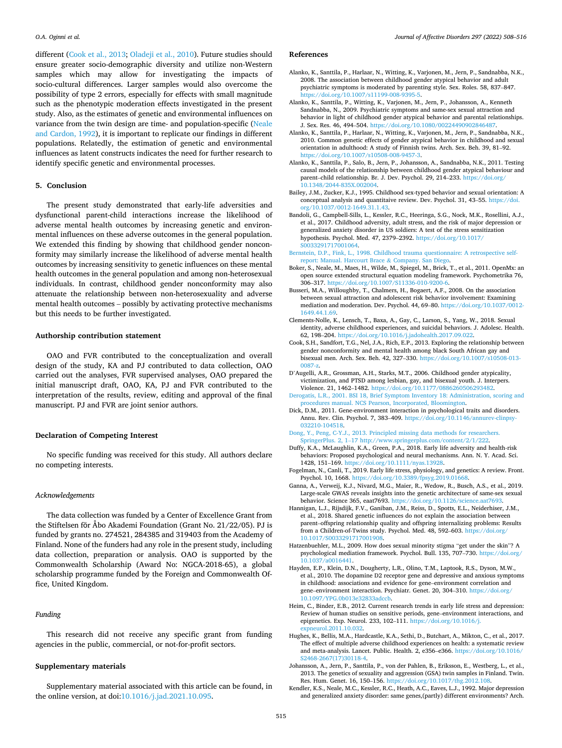<span id="page-7-0"></span>different (Cook et al., 2013; [Oladeji et al., 2010\)](#page-8-0). Future studies should ensure greater socio-demographic diversity and utilize non-Western samples which may allow for investigating the impacts of socio-cultural differences. Larger samples would also overcome the possibility of type 2 errors, especially for effects with small magnitude such as the phenotypic moderation effects investigated in the present study. Also, as the estimates of genetic and environmental influences on variance from the twin design are time- and population-specific ([Neale](#page-8-0)  [and Cardon, 1992](#page-8-0)), it is important to replicate our findings in different populations. Relatedly, the estimation of genetic and environmental influences as latent constructs indicates the need for further research to identify specific genetic and environmental processes.

## **5. Conclusion**

The present study demonstrated that early-life adversities and dysfunctional parent-child interactions increase the likelihood of adverse mental health outcomes by increasing genetic and environmental influences on these adverse outcomes in the general population. We extended this finding by showing that childhood gender nonconformity may similarly increase the likelihood of adverse mental health outcomes by increasing sensitivity to genetic influences on these mental health outcomes in the general population and among non-heterosexual individuals. In contrast, childhood gender nonconformity may also attenuate the relationship between non-heterosexuality and adverse mental health outcomes – possibly by activating protective mechanisms but this needs to be further investigated.

#### **Authorship contribution statement**

OAO and FVR contributed to the conceptualization and overall design of the study, KA and PJ contributed to data collection, OAO carried out the analyses, FVR supervised analyses, OAO prepared the initial manuscript draft, OAO, KA, PJ and FVR contributed to the interpretation of the results, review, editing and approval of the final manuscript. PJ and FVR are joint senior authors.

## **Declaration of Competing Interest**

No specific funding was received for this study. All authors declare no competing interests.

#### *Acknowledgements*

The data collection was funded by a Center of Excellence Grant from the Stiftelsen fӧr Åbo Akademi Foundation (Grant No. 21/22/05). PJ is funded by grants no. 274521, 284385 and 319403 from the Academy of Finland. None of the funders had any role in the present study, including data collection, preparation or analysis. OAO is supported by the Commonwealth Scholarship (Award No: NGCA-2018-65), a global scholarship programme funded by the Foreign and Commonwealth Office, United Kingdom.

## *Funding*

This research did not receive any specific grant from funding agencies in the public, commercial, or not-for-profit sectors.

## **Supplementary materials**

Supplementary material associated with this article can be found, in the online version, at doi:[10.1016/j.jad.2021.10.095](https://doi.org/10.1016/j.jad.2021.10.095).

#### **References**

- Alanko, K., Santtila, P., Harlaar, N., Witting, K., Varjonen, M., Jern, P., Sandnabba, N.K., 2008. The association between childhood gender atypical behavior and adult psychiatric symptoms is moderated by parenting style. Sex. Roles. 58, 837–847. [https://doi.org/10.1007/s11199-008-9395-5.](https://doi.org/10.1007/s11199-008-9395-5)
- Alanko, K., Santtila, P., Witting, K., Varjonen, M., Jern, P., Johansson, A., Kenneth Sandnabba, N., 2009. Psychiatric symptoms and same-sex sexual attraction and behavior in light of childhood gender atypical behavior and parental relationships. J. Sex. Res. 46, 494–504. <https://doi.org/10.1080/00224490902846487>.
- Alanko, K., Santtila, P., Harlaar, N., Witting, K., Varjonen, M., Jern, P., Sandnabba, N.K., 2010. Common genetic effects of gender atypical behavior in childhood and sexual orientation in adulthood: A study of Finnish twins. Arch. Sex. Beh. 39, 81–92. [https://doi.org/10.1007/s10508-008-9457-3.](https://doi.org/10.1007/s10508-008-9457-3)
- Alanko, K., Santtila, P., Salo, B., Jern, P., Johansson, A., Sandnabba, N.K., 2011. Testing causal models of the relationship between childhood gender atypical behaviour and parent–child relationship. Br. J. Dev. Psychol. 29, 214–233. [https://doi.org/](https://doi.org/10.1348/2044-835X.002004) [10.1348/2044-835X.002004.](https://doi.org/10.1348/2044-835X.002004)
- Bailey, J.M., Zucker, K.J., 1995. Childhood sex-typed behavior and sexual orientation: A conceptual analysis and quantitaive review. Dev. Psychol. 31, 43–55. [https://doi.](https://doi.org/10.1037/0012-1649.31.1.43) [org/10.1037/0012-1649.31.1.43](https://doi.org/10.1037/0012-1649.31.1.43).
- Bandoli, G., Campbell-Sills, L., Kessler, R.C., Heeringa, S.G., Nock, M.K., Rosellini, A.J., et al., 2017. Childhood adversity, adult stress, and the risk of major depression or generalized anxiety disorder in US soldiers: A test of the stress sensitization hypothesis. Psychol. Med. 47, 2379–2392. [https://doi.org/10.1017/](https://doi.org/10.1017/S0033291717001064)  [S0033291717001064](https://doi.org/10.1017/S0033291717001064).
- [Bernstein, D.P., Fink, L., 1998. Childhood trauma questionnaire: A retrospective self](http://refhub.elsevier.com/S0165-0327(21)01166-6/sbref0007)[report: Manual. Harcourt Brace](http://refhub.elsevier.com/S0165-0327(21)01166-6/sbref0007) & Company. San Diego.
- Boker, S., Neale, M., Maes, H., Wilde, M., Spiegel, M., Brick, T., et al., 2011. OpenMx: an open source extended structural equation modeling framework. Psychometrika 76, 306–317. <https://doi.org/10.1007/S11336-010-9200-6>.
- Busseri, M.A., Willoughby, T., Chalmers, H., Bogaert, A.F., 2008. On the association between sexual attraction and adolescent risk behavior involvement: Examining mediation and moderation. Dev. Psychol. 44, 69–80. [https://doi.org/10.1037/0012-](https://doi.org/10.1037/0012-1649.44.1.69)  [1649.44.1.69](https://doi.org/10.1037/0012-1649.44.1.69).
- Clements-Nolle, K., Lensch, T., Baxa, A., Gay, C., Larson, S., Yang, W., 2018. Sexual identity, adverse childhood experiences, and suicidal behaviors. J. Adolesc. Health. 62, 198–204.<https://doi.org/10.1016/j.jadohealth.2017.09.022>.
- Cook, S.H., Sandfort, T.G., Nel, J.A., Rich, E.P., 2013. Exploring the relationship between gender nonconformity and mental health among black South African gay and bisexual men. Arch. Sex. Beh. 42, 327–330. [https://doi.org/10.1007/s10508-013-](https://doi.org/10.1007/s10508-013-0087-z) [0087-z.](https://doi.org/10.1007/s10508-013-0087-z)
- D'Augelli, A.R., Grossman, A.H., Starks, M.T., 2006. Childhood gender atypicality, victimization, and PTSD among lesbian, gay, and bisexual youth. J. Interpers. Violence. 21, 1462–1482. [https://doi.org/10.1177/0886260506293482.](https://doi.org/10.1177/0886260506293482)
- [Derogatis, L.R., 2001. BSI 18, Brief Symptom Inventory 18: Administration, scoring and](http://refhub.elsevier.com/S0165-0327(21)01166-6/sbref0013)  [procedures manual. NCS Pearson, Incorporated, Bloomington](http://refhub.elsevier.com/S0165-0327(21)01166-6/sbref0013).
- Dick, D.M., 2011. Gene-environment interaction in psychological traits and disorders. Annu. Rev. Clin. Psychol. 7, 383–409. [https://doi.org/10.1146/annurev-clinpsy-](https://doi.org/10.1146/annurev-clinpsy-032210-104518)[032210-104518.](https://doi.org/10.1146/annurev-clinpsy-032210-104518)
- [Dong, Y., Peng, C-Y.J., 2013. Principled missing data methods for researchers.](http://refhub.elsevier.com/S0165-0327(21)01166-6/sbref0015) SpringerPlus. 2, 1–[17 http://www.springerplus.com/content/2/1/222](http://refhub.elsevier.com/S0165-0327(21)01166-6/sbref0015).
- Duffy, K.A., McLaughlin, K.A., Green, P.A., 2018. Early life adversity and health-risk behaviors: Proposed psychological and neural mechanisms. Ann. N. Y. Acad. Sci. 1428, 151–169. [https://doi.org/10.1111/nyas.13928.](https://doi.org/10.1111/nyas.13928)
- Fogelman, N., Canli, T., 2019. Early life stress, physiology, and genetics: A review. Front. Psychol. 10, 1668.<https://doi.org/10.3389/fpsyg.2019.01668>.
- Ganna, A., Verweij, K.J., Nivard, M.G., Maier, R., Wedow, R., Busch, A.S., et al., 2019. Large-scale GWAS reveals insights into the genetic architecture of same-sex sexual behavior. Science 365, eaat7693. <https://doi.org/10.1126/science.aat7693>.
- Hannigan, L.J., Rijsdijk, F.V., Ganiban, J.M., Reiss, D., Spotts, E.L., Neiderhiser, J.M., et al., 2018. Shared genetic influences do not explain the association between parent–offspring relationship quality and offspring internalizing problems: Results from a Children-of-Twins study. Psychol. Med. 48, 592-603. [https://doi.org/](https://doi.org/10.1017/S0033291717001908) [10.1017/S0033291717001908.](https://doi.org/10.1017/S0033291717001908)
- Hatzenbuehler, M.L., 2009. How does sexual minority stigma "get under the skin"? A psychological mediation framework. Psychol. Bull. 135, 707–730. [https://doi.org/](https://doi.org/10.1037/a0016441)  [10.1037/a0016441](https://doi.org/10.1037/a0016441).
- Hayden, E.P., Klein, D.N., Dougherty, L.R., Olino, T.M., Laptook, R.S., Dyson, M.W., et al., 2010. The dopamine D2 receptor gene and depressive and anxious symptoms in childhood: associations and evidence for gene–environment correlation and gene–environment interaction. Psychiatr. Genet. 20, 304–310. [https://doi.org/](https://doi.org/10.1097/YPG.0b013e32833adccb) [10.1097/YPG.0b013e32833adccb](https://doi.org/10.1097/YPG.0b013e32833adccb).
- Heim, C., Binder, E.B., 2012. Current research trends in early life stress and depression: Review of human studies on sensitive periods, gene–environment interactions, and epigenetics. Exp. Neurol. 233, 102–111. [https://doi.org/10.1016/j.](https://doi.org/10.1016/j.expneurol.2011.10.032) [expneurol.2011.10.032](https://doi.org/10.1016/j.expneurol.2011.10.032).
- Hughes, K., Bellis, M.A., Hardcastle, K.A., Sethi, D., Butchart, A., Mikton, C., et al., 2017. The effect of multiple adverse childhood experiences on health: a systematic review and meta-analysis. Lancet. Public. Health. 2, e356–e366. [https://doi.org/10.1016/](https://doi.org/10.1016/S2468-2667(17)30118-4) [S2468-2667\(17\)30118-4](https://doi.org/10.1016/S2468-2667(17)30118-4).
- Johansson, A., Jern, P., Santtila, P., von der Pahlen, B., Eriksson, E., Westberg, L., et al., 2013. The genetics of sexuality and aggression (GSA) twin samples in Finland. Twin. Res. Hum. Genet. 16, 150–156. [https://doi.org/10.1017/thg.2012.108.](https://doi.org/10.1017/thg.2012.108)
- Kendler, K.S., Neale, M.C., Kessler, R.C., Heath, A.C., Eaves, L.J., 1992. Major depression and generalized anxiety disorder: same genes,(partly) different environments? Arch.